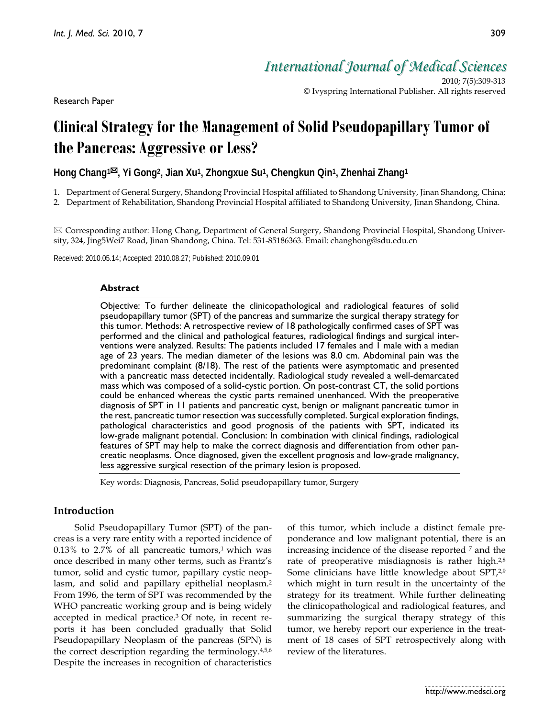Research Paper

*International Journal of Medical Sciences*

2010; 7(5):309-313 © Ivyspring International Publisher. All rights reserved

# **Clinical Strategy for the Management of Solid Pseudopapillary Tumor of the Pancreas: Aggressive or Less?**

**Hong Chang1, Yi Gong2, Jian Xu1, Zhongxue Su1, Chengkun Qin1, Zhenhai Zhang1**

1. Department of General Surgery, Shandong Provincial Hospital affiliated to Shandong University, Jinan Shandong, China;

2. Department of Rehabilitation, Shandong Provincial Hospital affiliated to Shandong University, Jinan Shandong, China.

 Corresponding author: Hong Chang, Department of General Surgery, Shandong Provincial Hospital, Shandong University, 324, Jing5Wei7 Road, Jinan Shandong, China. Tel: 531-85186363. Email: changhong@sdu.edu.cn

Received: 2010.05.14; Accepted: 2010.08.27; Published: 2010.09.01

### **Abstract**

Objective: To further delineate the clinicopathological and radiological features of solid pseudopapillary tumor (SPT) of the pancreas and summarize the surgical therapy strategy for this tumor. Methods: A retrospective review of 18 pathologically confirmed cases of SPT was performed and the clinical and pathological features, radiological findings and surgical interventions were analyzed. Results: The patients included 17 females and 1 male with a median age of 23 years. The median diameter of the lesions was 8.0 cm. Abdominal pain was the predominant complaint (8/18). The rest of the patients were asymptomatic and presented with a pancreatic mass detected incidentally. Radiological study revealed a well-demarcated mass which was composed of a solid-cystic portion. On post-contrast CT, the solid portions could be enhanced whereas the cystic parts remained unenhanced. With the preoperative diagnosis of SPT in 11 patients and pancreatic cyst, benign or malignant pancreatic tumor in the rest, pancreatic tumor resection was successfully completed. Surgical exploration findings, pathological characteristics and good prognosis of the patients with SPT, indicated its low-grade malignant potential. Conclusion: In combination with clinical findings, radiological features of SPT may help to make the correct diagnosis and differentiation from other pancreatic neoplasms. Once diagnosed, given the excellent prognosis and low-grade malignancy, less aggressive surgical resection of the primary lesion is proposed.

Key words: Diagnosis, Pancreas, Solid pseudopapillary tumor, Surgery

# **Introduction**

Solid Pseudopapillary Tumor (SPT) of the pancreas is a very rare entity with a reported incidence of  $0.13\%$  to 2.7% of all pancreatic tumors,<sup>1</sup> which was once described in many other terms, such as Frantz's tumor, solid and cystic tumor, papillary cystic neoplasm, and solid and papillary epithelial neoplasm.2 From 1996, the term of SPT was recommended by the WHO pancreatic working group and is being widely accepted in medical practice. 3 Of note, in recent reports it has been concluded gradually that Solid Pseudopapillary Neoplasm of the pancreas (SPN) is the correct description regarding the terminology.4,5,6 Despite the increases in recognition of characteristics

of this tumor, which include a distinct female preponderance and low malignant potential, there is an increasing incidence of the disease reported 7 and the rate of preoperative misdiagnosis is rather high.<sup>2,8</sup> Some clinicians have little knowledge about SPT,<sup>2,9</sup> which might in turn result in the uncertainty of the strategy for its treatment. While further delineating the clinicopathological and radiological features, and summarizing the surgical therapy strategy of this tumor, we hereby report our experience in the treatment of 18 cases of SPT retrospectively along with review of the literatures.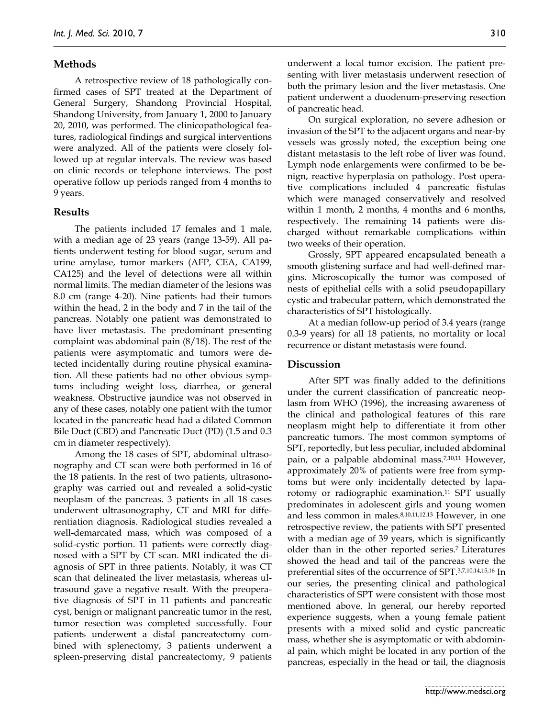## **Methods**

A retrospective review of 18 pathologically confirmed cases of SPT treated at the Department of General Surgery, Shandong Provincial Hospital, Shandong University, from January 1, 2000 to January 20, 2010, was performed. The clinicopathological features, radiological findings and surgical interventions were analyzed. All of the patients were closely followed up at regular intervals. The review was based on clinic records or telephone interviews. The post operative follow up periods ranged from 4 months to 9 years.

#### **Results**

The patients included 17 females and 1 male, with a median age of 23 years (range 13-59). All patients underwent testing for blood sugar, serum and urine amylase, tumor markers (AFP, CEA, CA199, CA125) and the level of detections were all within normal limits. The median diameter of the lesions was 8.0 cm (range 4-20). Nine patients had their tumors within the head, 2 in the body and 7 in the tail of the pancreas. Notably one patient was demonstrated to have liver metastasis. The predominant presenting complaint was abdominal pain (8/18). The rest of the patients were asymptomatic and tumors were detected incidentally during routine physical examination. All these patients had no other obvious symptoms including weight loss, diarrhea, or general weakness. Obstructive jaundice was not observed in any of these cases, notably one patient with the tumor located in the pancreatic head had a dilated Common Bile Duct (CBD) and Pancreatic Duct (PD) (1.5 and 0.3 cm in diameter respectively).

Among the 18 cases of SPT, abdominal ultrasonography and CT scan were both performed in 16 of the 18 patients. In the rest of two patients, ultrasonography was carried out and revealed a solid-cystic neoplasm of the pancreas. 3 patients in all 18 cases underwent ultrasonography, CT and MRI for differentiation diagnosis. Radiological studies revealed a well-demarcated mass, which was composed of a solid-cystic portion. 11 patients were correctly diagnosed with a SPT by CT scan. MRI indicated the diagnosis of SPT in three patients. Notably, it was CT scan that delineated the liver metastasis, whereas ultrasound gave a negative result. With the preoperative diagnosis of SPT in 11 patients and pancreatic cyst, benign or malignant pancreatic tumor in the rest, tumor resection was completed successfully. Four patients underwent a distal pancreatectomy combined with splenectomy, 3 patients underwent a spleen-preserving distal pancreatectomy, 9 patients

310

underwent a local tumor excision. The patient presenting with liver metastasis underwent resection of both the primary lesion and the liver metastasis. One patient underwent a duodenum-preserving resection of pancreatic head.

On surgical exploration, no severe adhesion or invasion of the SPT to the adjacent organs and near-by vessels was grossly noted, the exception being one distant metastasis to the left robe of liver was found. Lymph node enlargements were confirmed to be benign, reactive hyperplasia on pathology. Post operative complications included 4 pancreatic fistulas which were managed conservatively and resolved within 1 month, 2 months, 4 months and 6 months, respectively. The remaining 14 patients were discharged without remarkable complications within two weeks of their operation.

Grossly, SPT appeared encapsulated beneath a smooth glistening surface and had well-defined margins. Microscopically the tumor was composed of nests of epithelial cells with a solid pseudopapillary cystic and trabecular pattern, which demonstrated the characteristics of SPT histologically.

At a median follow-up period of 3.4 years (range 0.3-9 years) for all 18 patients, no mortality or local recurrence or distant metastasis were found.

#### **Discussion**

After SPT was finally added to the definitions under the current classification of pancreatic neoplasm from WHO (1996), the increasing awareness of the clinical and pathological features of this rare neoplasm might help to differentiate it from other pancreatic tumors. The most common symptoms of SPT, reportedly, but less peculiar, included abdominal pain, or a palpable abdominal mass.7,10,11 However, approximately 20% of patients were free from symptoms but were only incidentally detected by laparotomy or radiographic examination. <sup>11</sup> SPT usually predominates in adolescent girls and young women and less common in males.8,10,11,12.13 However, in one retrospective review, the patients with SPT presented with a median age of 39 years, which is significantly older than in the other reported series. 7 Literatures showed the head and tail of the pancreas were the preferential sites of the occurrence of SPT. 3,7,10,14,15,16 In our series, the presenting clinical and pathological characteristics of SPT were consistent with those most mentioned above. In general, our hereby reported experience suggests, when a young female patient presents with a mixed solid and cystic pancreatic mass, whether she is asymptomatic or with abdominal pain, which might be located in any portion of the pancreas, especially in the head or tail, the diagnosis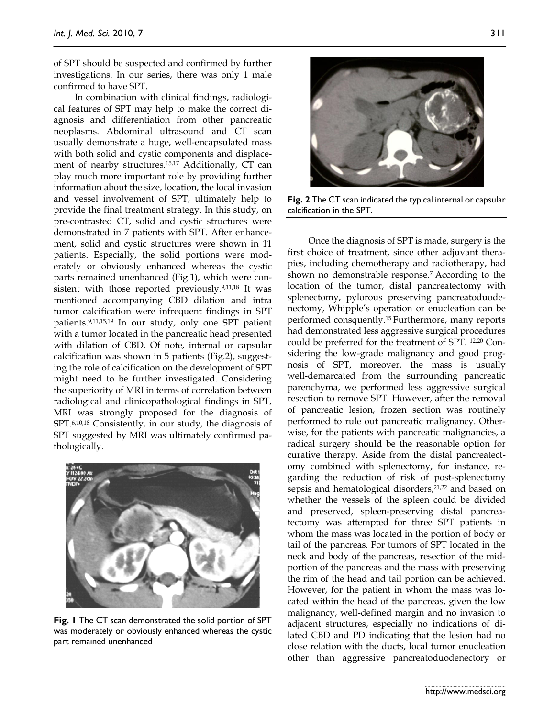of SPT should be suspected and confirmed by further investigations. In our series, there was only 1 male confirmed to have SPT.

In combination with clinical findings, radiological features of SPT may help to make the correct diagnosis and differentiation from other pancreatic neoplasms. Abdominal ultrasound and CT scan usually demonstrate a huge, well-encapsulated mass with both solid and cystic components and displacement of nearby structures.15,17 Additionally, CT can play much more important role by providing further information about the size, location, the local invasion and vessel involvement of SPT, ultimately help to provide the final treatment strategy. In this study, on pre-contrasted CT, solid and cystic structures were demonstrated in 7 patients with SPT. After enhancement, solid and cystic structures were shown in 11 patients. Especially, the solid portions were moderately or obviously enhanced whereas the cystic parts remained unenhanced (Fig.1), which were consistent with those reported previously.<sup>9,11,18</sup> It was mentioned accompanying CBD dilation and intra tumor calcification were infrequent findings in SPT patients.9,11,15,19 In our study, only one SPT patient with a tumor located in the pancreatic head presented with dilation of CBD. Of note, internal or capsular calcification was shown in 5 patients (Fig.2), suggesting the role of calcification on the development of SPT might need to be further investigated. Considering the superiority of MRI in terms of correlation between radiological and clinicopathological findings in SPT, MRI was strongly proposed for the diagnosis of SPT.6,10,18 Consistently, in our study, the diagnosis of SPT suggested by MRI was ultimately confirmed pathologically.



**Fig. 1** The CT scan demonstrated the solid portion of SPT was moderately or obviously enhanced whereas the cystic part remained unenhanced



**Fig. 2** The CT scan indicated the typical internal or capsular calcification in the SPT.

Once the diagnosis of SPT is made, surgery is the first choice of treatment, since other adjuvant therapies, including chemotherapy and radiotherapy, had shown no demonstrable response.7 According to the location of the tumor, distal pancreatectomy with splenectomy, pylorous preserving pancreatoduodenectomy, Whipple's operation or enucleation can be performed consquently.15 Furthermore, many reports had demonstrated less aggressive surgical procedures could be preferred for the treatment of SPT. 12,20 Considering the low-grade malignancy and good prognosis of SPT, moreover, the mass is usually well-demarcated from the surrounding pancreatic parenchyma, we performed less aggressive surgical resection to remove SPT. However, after the removal of pancreatic lesion, frozen section was routinely performed to rule out pancreatic malignancy. Otherwise, for the patients with pancreatic malignancies, a radical surgery should be the reasonable option for curative therapy. Aside from the distal pancreatectomy combined with splenectomy, for instance, regarding the reduction of risk of post-splenectomy sepsis and hematological disorders,<sup>21,22</sup> and based on whether the vessels of the spleen could be divided and preserved, spleen-preserving distal pancreatectomy was attempted for three SPT patients in whom the mass was located in the portion of body or tail of the pancreas. For tumors of SPT located in the neck and body of the pancreas, resection of the midportion of the pancreas and the mass with preserving the rim of the head and tail portion can be achieved. However, for the patient in whom the mass was located within the head of the pancreas, given the low malignancy, well-defined margin and no invasion to adjacent structures, especially no indications of dilated CBD and PD indicating that the lesion had no close relation with the ducts, local tumor enucleation other than aggressive pancreatoduodenectory or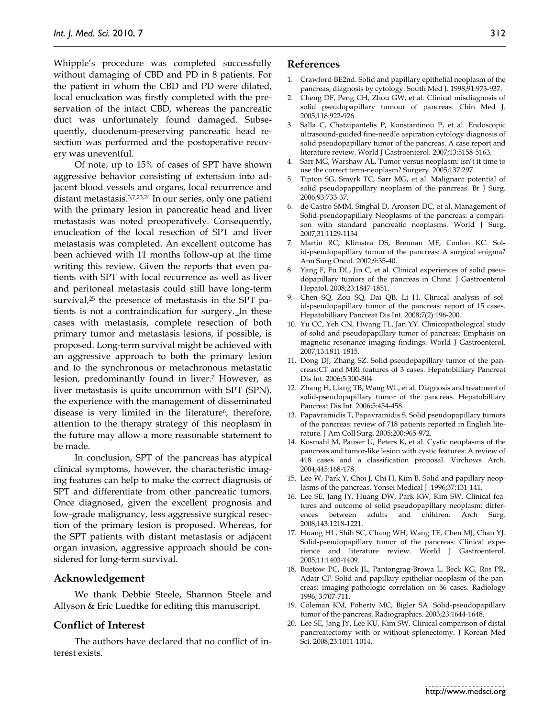Whipple's procedure was completed successfully without damaging of CBD and PD in 8 patients. For the patient in whom the CBD and PD were dilated, local enucleation was firstly completed with the preservation of the intact CBD, whereas the pancreatic duct was unfortunately found damaged. Subsequently, duodenum-preserving pancreatic head resection was performed and the postoperative recovery was uneventful.

Of note, up to 15% of cases of SPT have shown aggressive behavior consisting of extension into adjacent blood vessels and organs, local recurrence and distant metastasis.3,7,23,24 In our series, only one patient with the primary lesion in pancreatic head and liver metastasis was noted preoperatively. Consequently, enucleation of the local resection of SPT and liver metastasis was completed. An excellent outcome has been achieved with 11 months follow-up at the time writing this review. Given the reports that even patients with SPT with local recurrence as well as liver and peritoneal metastasis could still have long-term survival,<sup>25</sup> the presence of metastasis in the SPT patients is not a contraindication for surgery. In these cases with metastasis, complete resection of both primary tumor and metastasis lesions, if possible, is proposed. Long-term survival might be achieved with an aggressive approach to both the primary lesion and to the synchronous or metachronous metastatic lesion, predominantly found in liver.<sup>7</sup> However, as liver metastasis is quite uncommon with SPT (SPN), the experience with the management of disseminated disease is very limited in the literature $\epsilon$ , therefore, attention to the therapy strategy of this neoplasm in the future may allow a more reasonable statement to be made.

In conclusion, SPT of the pancreas has atypical clinical symptoms, however, the characteristic imaging features can help to make the correct diagnosis of SPT and differentiate from other pancreatic tumors. Once diagnosed, given the excellent prognosis and low-grade malignancy, less aggressive surgical resection of the primary lesion is proposed. Whereas, for the SPT patients with distant metastasis or adjacent organ invasion, aggressive approach should be considered for long-term survival.

#### **Acknowledgement**

We thank Debbie Steele, Shannon Steele and Allyson & Eric Luedtke for editing this manuscript.

#### **Conflict of Interest**

The authors have declared that no conflict of interest exists.

# **References**

- 1. Crawford BE2nd. Solid and papillary epithelial neoplasm of the pancreas, diagnosis by cytology. South Med J. 1998;91:973-937.
- 2. Cheng DF, Peng CH, Zhou GW, et al. Clinical misdiagnosis of solid pseudopapillary tumour of pancreas. Chin Med J. 2005;118:922-926.
- 3. Salla C, Chatzipantelis P, Konstantinou P, et al. Endoscopic ultrasound-guided fine-needle aspiration cytology diagnosis of solid pseudopapillary tumor of the pancreas. A case report and literature review. World J Gastroenterol. 2007;13:5158-5163.
- 4. Sarr MG, Warshaw AL. Tumor versus neoplasm: isn't it time to use the correct term-neoplasm? Surgery. 2005;137:297.
- 5. Tipton SG, Smyrk TC, Sarr MG, et al. Malignant potential of solid pseudopappillary neoplasm of the pancreas. Br J Surg. 2006;93:733-37.
- 6. de Castro SMM, Singhal D, Aronson DC, et al. Management of Solid-pseudopapillary Neoplasms of the pancreas: a comparison with standard pancreatic neoplasms. World J Surg. 2007;31:1129-1134
- 7. Martin RC, Klimstra DS, Brennan MF, Conlon KC. Solid-pseudopapillary tumor of the pancreas: A surgical enigma? Ann Surg Oncol. 2002;9:35-40.
- Yang F, Fu DL, Jin C, et al. Clinical experiences of solid pseudopapillary tumors of the pancreas in China. J Gastroenterol Hepatol. 2008;23:1847-1851.
- 9. Chen SQ, Zou SQ, Dai QB, Li H. Clinical analysis of solid-pseudopapillary tumor of the pancreas: report of 15 cases. Hepatobilliary Pancreat Dis Int. 2008;7(2):196-200.
- 10. Yu CC, Yeh CN, Hwang TL, Jan YY. Clinicopathological study of solid and pseudopapillary tumor of pancreas: Emphasis on magnetic resonance imaging findings. World J Gastroenterol. 2007;13:1811-1815.
- 11. Dong DJ, Zhang SZ. Solid-pseudopapillary tumor of the pancreas:CT and MRI features of 3 cases. Hepatobilliary Pancreat Dis Int. 2006;5:300-304.
- 12. Zhang H, Liang TB, Wang WL, et al. Diagnosis and treatment of solid-pseudopapillary tumor of the pancreas. Hepatobilliary Pancreat Dis Int. 2006;5:454-458.
- 13. Papavramidis T, Papavramidis S. Solid pseudopapillary tumors of the pancreas: review of 718 patients reported in English literature. J Am Coll Surg. 2005;200:965-972.
- 14. Kosmahl M, Pauser U, Peters K, et al. Cystic neoplasms of the pancreas and tumor-like lesion with cystic features: A review of 418 cases and a classification proposal. Virchows Arch. 2004;445:168-178.
- 15. Lee W, Park Y, Choi J, Chi H, Kim B. Solid and papillary neoplasms of the pancreas. Yonsei Medical J. 1996;37:131-141.
- 16. Lee SE, Jang JY, Huang DW, Park KW, Kim SW. Clinical features and outcome of solid pseudopapillary neoplasm: differences between adults and children. Arch Surg. 2008;143:1218-1221.
- 17. Huang HL, Shih SC, Chang WH, Wang TE, Chen MJ, Chan YJ. Solid-pseudopapillary tumor of the pancreas: Clinical experience and literature review. World J Gastroenterol. 2005;11:1403-1409.
- 18. Buetow PC, Buck JL, Pantongrag-Browa L, Beck KG, Ros PR, Adair CF. Solid and papillary epitheliar neoplasm of the pancreas: imaging-pathologic correlation on 56 cases. Radiology 1996; 3:707-711.
- 19. Coleman KM, Poherty MC, Bigler SA. Solid-pseudopapillary tumor of the pancreas. Radiographics. 2003;23:1644-1648.
- 20. Lee SE, Jang JY, Lee KU, Kim SW. Clinical comparison of distal pancreatectomy with or without splenectomy. J Korean Med Sci. 2008;23:1011-1014.